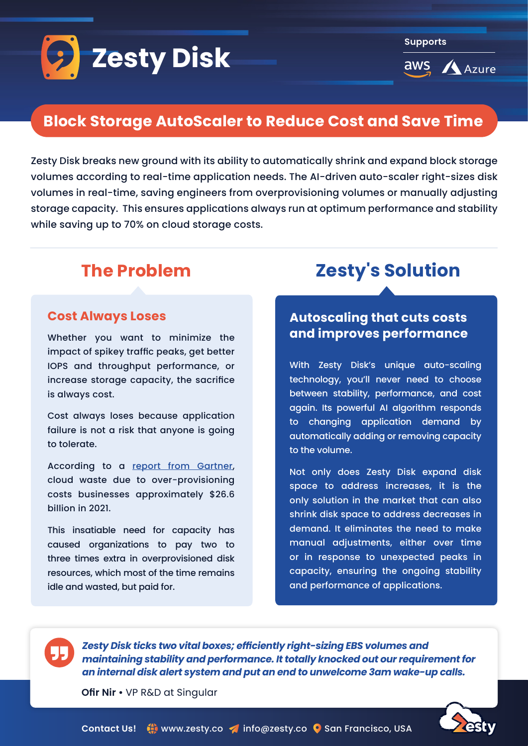

**Supports**

**aws Azure** 

## **Block Storage AutoScaler to Reduce Cost and Save Time**

Zesty Disk breaks new ground with its ability to automatically shrink and expand block storage volumes according to real-time application needs. The AI-driven auto-scaler right-sizes disk volumes in real-time, saving engineers from overprovisioning volumes or manually adjusting storage capacity. This ensures applications always run at optimum performance and stability while saving up to 70% on cloud storage costs.

#### **Cost Always Loses**

Whether you want to minimize the impact of spikey traffic peaks, get better IOPS and throughput performance, or increase storage capacity, the sacrifice is always cost.

Cost always loses because application failure is not a risk that anyone is going to tolerate.

According to a report from Gartner, cloud waste due to over-provisioning costs businesses approximately \$26.6 billion in 2021.

This insatiable need for capacity has caused organizations to pay two to three times extra in overprovisioned disk resources, which most of the time remains idle and wasted, but paid for.

# **The Problem 2esty's Solution**

### **Autoscaling that cuts costs performance improves and**

With Zesty Disk's unique auto-scaling technology, you'll never need to choose between stability, performance, and cost again. Its powerful AI algorithm responds to changing application demand by automatically adding or removing capacity to the volume.

Not only does Zesty Disk expand disk space to address increases, it is the only solution in the market that can also shrink disk space to address decreases in demand. It eliminates the need to make manual adjustments, either over time or in response to unexpected peaks in capacity, ensuring the ongoing stability and performance of applications.

55

**Zesty Disk ticks two vital boxes; efficiently right-sizing EBS volumes and** *maintaining stability and performance. It totally knocked out our requirement for .calls up-wake am3 unwelcome to end an put and system alert disk internal an*

**Ofir Nir • VP R&D at Singular**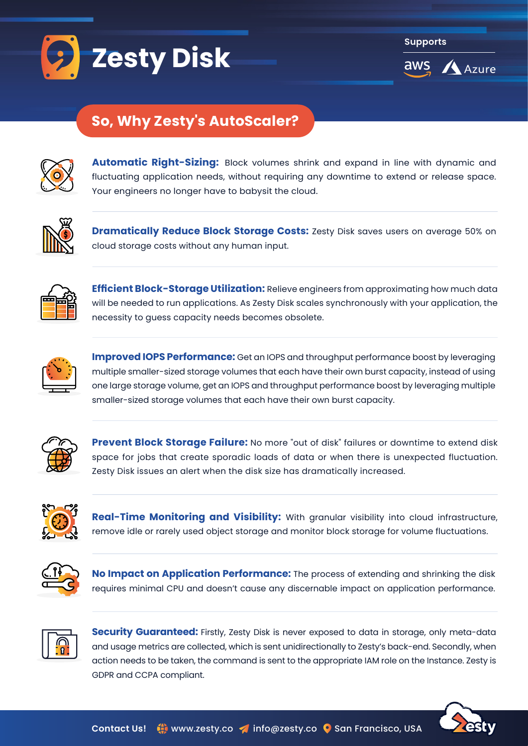

**Supports**



# **AutoScaler So, Why Zesty's AutoScaler?**

volumes EBS of sizing-right Automatic Automatic Automatic Automatic Automatic Automatic Automatic Automatic Au



Automatic Right-Sizing: Block volumes shrink and expand in line with dynamic and  $\overline{X} \overline{O}$  fluctuating application needs, without requiring any downtime to extend or release space. Your engineers no longer have to babysit the cloud. EBS into visibility and monitoring time-Real



**Dramatically Reduce Block Storage Costs:** Zesty Disk saves users on average 50% on cloud storage costs without any human input.



Efficient Block-Storage Utilization: Relieve engineers from approximating how much data will be needed to run applications. As Zesty Disk scales synchronously with your application, the  $\blacksquare$  necessity to guess capacity needs becomes obsolete.



**Improved IOPS Performance:** Get an IOPS and throughput performance boost by leveraging multiple smaller-sized storage volumes that each have their own burst capacity, instead of using one large storage volume, get an IOPS and throughput performance boost by leveraging multiple smaller-sized storage volumes that each have their own burst capacity. Autoscaler Storage Cloud



Prevent Block Storage Failure: No more "out of disk" failures or downtime to extend disk space for jobs that create sporadic loads of data or when there is unexpected fluctuation.<br>' Zesty Disk issues an alert when the disk size has dramatically increased. guarantee back-buy free-Risk e for jobs that create sporac



downtime Zero

Real-Time Monitoring and Visibility: With granular visibility into cloud infrastructure, remove idle or rarely used object storage and monitor block storage for volume fluctuations.



No lmpact on Application Performance: The process of extending and shrinking the disk requires minimal CPU and doesn't cause any discernable impact on application performance. effort engineering Zero



**Security Guaranteed:** Firstly, Zesty Disk is never exposed to data in storage, only meta-data and usage metrics are collected, which is sent unidirectionally to Zesty's back-end. Secondly, when action needs to be taken, the command is sent to the appropriate IAM role on the Instance. Zesty is GDPR and CCPA compliant.



performance and stability application Maintains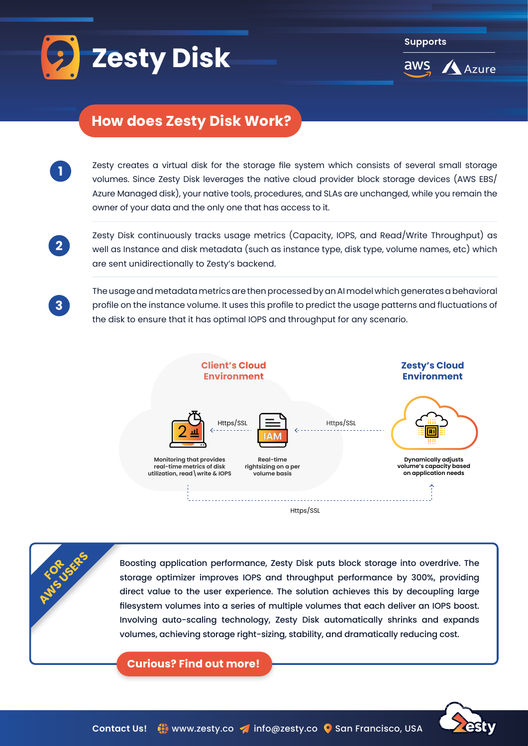

**Supports**



## **How does Zesty Disk Work?**

Zesty creates a virtual disk for the storage file system which consists of several small storage volumes. Since Zesty Disk leverages the native cloud provider block storage devices (AWS EBS/ Azure Managed disk), your native tools, procedures, and SLAs are unchanged, while you remain the owner of your data and the only one that has access to it.

**2**

**3**

**RO PIUS JSERS** 

**1**

Zesty Disk continuously tracks usage metrics (Capacity, IOPS, and Read/Write Throughput) as well as Instance and disk metadata (such as instance type, disk type, volume names, etc) which are sent unidirectionally to Zesty's backend.

The usage and metadata metrics are then processed by an AI model which generates a behavioral profile on the instance volume. It uses this profile to predict the usage patterns and fluctuations of the disk to ensure that it has optimal IOPS and throughput for any scenario.



Boosting application performance, Zesty Disk puts block storage into overdrive. The storage optimizer improves IOPS and throughput performance by 300%, providing direct value to the user experience. The solution achieves this by decoupling large filesystem volumes into a series of multiple volumes that each deliver an IOPS boost. Involving auto-scaling technology, Zesty Disk automatically shrinks and expands volumes, achieving storage right-sizing, stability, and dramatically reducing cost.

**Curious? Find out more!** 

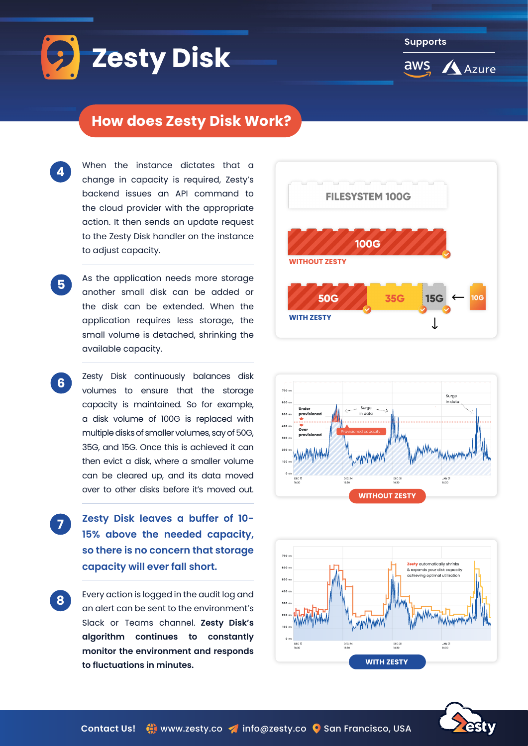

**Supports**aws

Azure

#### **How does Zesty Disk Work?**

- When the instance dictates that a change in capacity is required, Zesty's backend issues an API command to the cloud provider with the appropriate action. It then sends an update request to the Zesty Disk handler on the instance to adjust capacity.
- As the application needs more storage another small disk can be added or the disk can be extended. When the application requires less storage, the small volume is detached, shrinking the available capacity. **5**

**6**

**4**

- Zesty Disk continuously balances disk volumes to ensure that the storage capacity is maintained. So for example, a disk volume of 100G is replaced with multiple disks of smaller volumes, say of 50G, 35G, and 15G. Once this is achieved it can then evict a disk, where a smaller volume can be cleared up, and its data moved over to other disks before it's moved out.
- **2esty Disk leaves a buffer of 10-15% above the needed capacity,** so there is no concern that storage capacity will ever fall short. **7**
- Every action is logged in the audit log and an alert can be sent to the environment's Slack or Teams channel. Zesty Disk's **algorithm** continues to constantly monitor the environment and responds to fluctuations in minutes. **8**